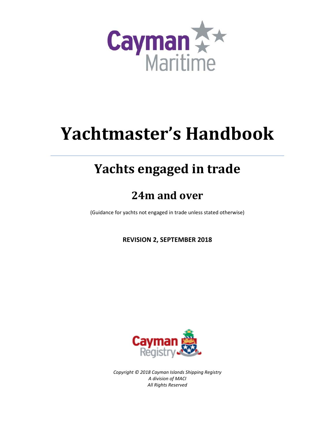

# **Yachtmaster's Handbook**

# **Yachts engaged in trade**

# **24m and over**

(Guidance for yachts not engaged in trade unless stated otherwise)

**REVISION 2, SEPTEMBER 2018**



*Copyright © 2018 Cayman Islands Shipping Registry A division of MACI All Rights Reserved*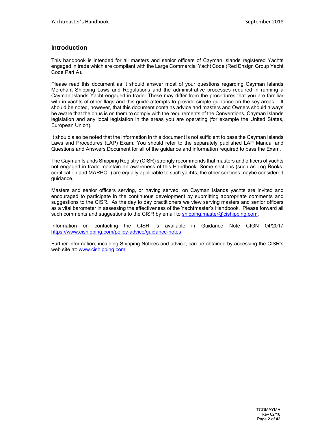## **Introduction**

This handbook is intended for all masters and senior officers of Cayman Islands registered Yachts engaged in trade which are compliant with the Large Commercial Yacht Code (Red Ensign Group Yacht Code Part A).

Please read this document as it should answer most of your questions regarding Cayman Islands Merchant Shipping Laws and Regulations and the administrative processes required in running a Cayman Islands Yacht engaged in trade. These may differ from the procedures that you are familiar with in yachts of other flags and this guide attempts to provide simple guidance on the key areas. It should be noted, however, that this document contains advice and masters and Owners should always be aware that the onus is on them to comply with the requirements of the Conventions, Cayman Islands legislation and any local legislation in the areas you are operating (for example the United States, European Union).

It should also be noted that the information in this document is not sufficient to pass the Cayman Islands Laws and Procedures (LAP) Exam. You should refer to the separately published LAP Manual and Questions and Answers Document for all of the guidance and information required to pass the Exam.

The Cayman Islands Shipping Registry (CISR) strongly recommends that masters and officers of yachts not engaged in trade maintain an awareness of this Handbook. Some sections (such as Log Books, certification and MARPOL) are equally applicable to such yachts, the other sections maybe considered guidance.

Masters and senior officers serving, or having served, on Cayman Islands yachts are invited and encouraged to participate in the continuous development by submitting appropriate comments and suggestions to the CISR. As the day to day practitioners we view serving masters and senior officers as a vital barometer in assessing the effectiveness of the Yachtmaster's Handbook. Please forward all such comments and suggestions to the CISR by email to shipping.master@cishipping.com.

Information on contacting the CISR is available in Guidance Note CIGN 04/2017 https://www.cishipping.com/policy-advice/guidance-notes

Further information, including Shipping Notices and advice, can be obtained by accessing the CISR's web site at: www.cishipping.com.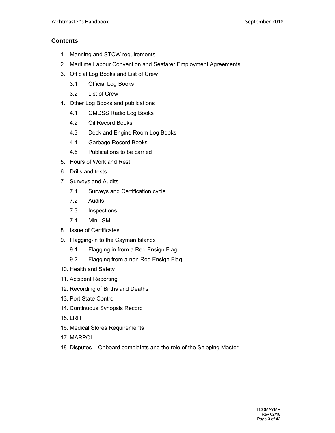# **Contents**

- 1. Manning and STCW requirements
- 2. Maritime Labour Convention and Seafarer Employment Agreements
- 3. Official Log Books and List of Crew
	- 3.1 Official Log Books
	- 3.2 List of Crew
- 4. Other Log Books and publications
	- 4.1 GMDSS Radio Log Books
	- 4.2 Oil Record Books
	- 4.3 Deck and Engine Room Log Books
	- 4.4 Garbage Record Books
	- 4.5 Publications to be carried
- 5. Hours of Work and Rest
- 6. Drills and tests
- 7. Surveys and Audits
	- 7.1 Surveys and Certification cycle
	- 7.2 Audits
	- 7.3 Inspections
	- 7.4 Mini ISM
- 8. Issue of Certificates
- 9. Flagging-in to the Cayman Islands
	- 9.1 Flagging in from a Red Ensign Flag
	- 9.2 Flagging from a non Red Ensign Flag
- 10. Health and Safety
- 11. Accident Reporting
- 12. Recording of Births and Deaths
- 13. Port State Control
- 14. Continuous Synopsis Record
- 15. LRIT
- 16. Medical Stores Requirements
- 17. MARPOL
- 18. Disputes Onboard complaints and the role of the Shipping Master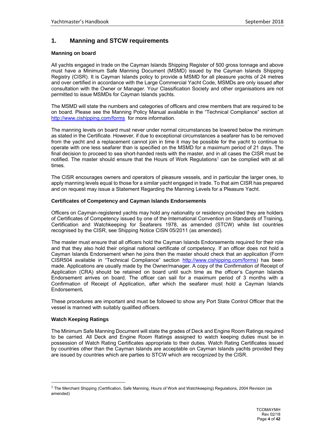# **1. Manning and STCW requirements**

## **Manning on board**

All yachts engaged in trade on the Cayman Islands Shipping Register of 500 gross tonnage and above must have a Minimum Safe Manning Document (MSMD) issued by the Cayman Islands Shipping Registry (CISR). It is Cayman Islands policy to provide a MSMD for all pleasure yachts of 24 metres and over certified in accordance with the Large Commercial Yacht Code, MSMDs are only issued after consultation with the Owner or Manager. Your Classification Society and other organisations are not permitted to issue MSMDs for Cayman Islands yachts.

The MSMD will state the numbers and categories of officers and crew members that are required to be on board. Please see the Manning Policy Manual available in the "Technical Compliance" section at http://www.cishipping.com/forms for more information.

The manning levels on board must never under normal circumstances be lowered below the minimum as stated in the Certificate. However, if due to exceptional circumstances a seafarer has to be removed from the yacht and a replacement cannot join in time it may be possible for the yacht to continue to operate with one less seafarer than is specified on the MSMD for a maximum period of 21 days. The final decision to proceed to sea short-handed rests with the master, and in all cases the CISR must be notified. The master should ensure that the Hours of Work Regulations<sup>1</sup> can be complied with at all times.

The CISR encourages owners and operators of pleasure vessels, and in particular the larger ones, to apply manning levels equal to those for a similar yacht engaged in trade. To that aim CISR has prepared and on request may issue a Statement Regarding the Manning Levels for a Pleasure Yacht.

## **Certificates of Competency and Cayman Islands Endorsements**

Officers on Cayman-registered yachts may hold any nationality or residency provided they are holders of Certificates of Competency issued by one of the International Convention on Standards of Training, Certification and Watchkeeping for Seafarers 1978, as amended (STCW) white list countries recognised by the CISR, see Shipping Notice CISN 05/2011 (as amended).

The master must ensure that all officers hold the Cayman Islands Endorsements required for their role and that they also hold their original national certificate of competency. If an officer does not hold a Cayman Islands Endorsement when he joins then the master should check that an application (Form CISR504 available in "Technical Compliance" section http://www.cishipping.com/forms) has been made. Applications are usually made by the Owner/manager. A copy of the Confirmation of Receipt of Application (CRA) should be retained on board until such time as the officer's Cayman Islands Endorsement arrives on board. The officer can sail for a maximum period of 3 months with a Confirmation of Receipt of Application, after which the seafarer must hold a Cayman Islands Endorsement**.** 

These procedures are important and must be followed to show any Port State Control Officer that the vessel is manned with suitably qualified officers.

## **Watch Keeping Ratings**

The Minimum Safe Manning Document will state the grades of Deck and Engine Room Ratings required to be carried. All Deck and Engine Room Ratings assigned to watch keeping duties must be in possession of Watch Rating Certificates appropriate to their duties. Watch Rating Certificates issued by countries other than the Cayman Islands are acceptable on Cayman Islands yachts provided they are issued by countries which are parties to STCW which are recognized by the CISR.

 $1$  The Merchant Shipping (Certification, Safe Manning, Hours of Work and Watchkeeping) Regulations, 2004 Revision (as amended)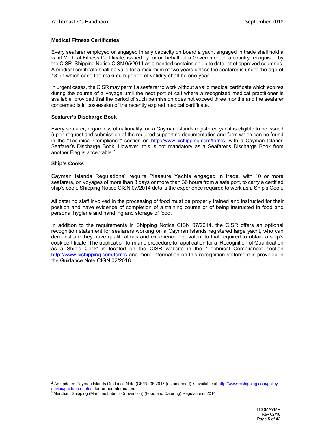#### **Medical Fitness Certificates**

Every seafarer employed or engaged in any capacity on board a yacht engaged in trade shall hold a valid Medical Fitness Certificate, issued by, or on behalf, of a Government of a country recognised by the CISR. Shipping Notice CISN 05/2011 as amended contains an up to date list of approved countries. A medical certificate shall be valid for a maximum of two years unless the seafarer is under the age of 18, in which case the maximum period of validity shall be one year.

In urgent cases, the CISR may permit a seafarer to work without a valid medical certificate which expires during the course of a voyage until the next port of call where a recognized medical practitioner is available, provided that the period of such permission does not exceed three months and the seafarer concerned is in possession of the recently expired medical certificate.

## **Seafarer's Discharge Book**

Every seafarer, regardless of nationality, on a Cayman Islands registered yacht is eligible to be issued (upon request and submission of the required supporting documentation and form which can be found in the "Technical Compliance" section on http://www.cishipping.com/forms) with a Cayman Islands Seafarer's Discharge Book. However, this is not mandatory as a Seafarer's Discharge Book from another Flag is acceptable.2

#### **Ship's Cooks**

Cayman Islands Regulations<sup>3</sup> require Pleasure Yachts engaged in trade, with 10 or more seafarers, on voyages of more than 3 days or more than 36 hours from a safe port, to carry a certified ship's cook. Shipping Notice CISN 07/2014 details the experience required to work as a Ship's Cook.

All catering staff involved in the processing of food must be properly trained and instructed for their position and have evidence of completion of a training course or of being instructed in food and personal hygiene and handling and storage of food.

In addition to the requirements in Shipping Notice CISN 07/2014, the CISR offers an optional recognition statement for seafarers working on a Cayman Islands registered large yacht, who can demonstrate they have qualifications and experience equivalent to that required to obtain a ship's cook certificate. The application form and procedure for application for a 'Recognition of Qualification as a Ship's Cook' is located on the CISR website in the "Technical Compliance" section http://www.cishipping.com/forms and more information on this recognition statement is provided in the Guidance Note CIGN 02/2018.

<sup>&</sup>lt;sup>2</sup> An updated Cayman Islands Guidance Note (CIGN) 06/2017 (as amended) is available at http://www.cishipping.com/policyadvice/guidance-notes for further information.

<sup>&</sup>lt;sup>3</sup> Merchant Shipping (Maritime Labour Convention) (Food and Catering) Regulations, 2014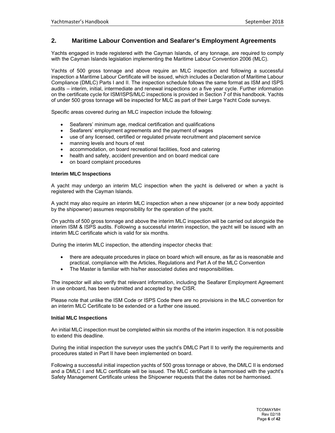# **2. Maritime Labour Convention and Seafarer's Employment Agreements**

Yachts engaged in trade registered with the Cayman Islands, of any tonnage, are required to comply with the Cayman Islands legislation implementing the Maritime Labour Convention 2006 (MLC).

Yachts of 500 gross tonnage and above require an MLC inspection and following a successful inspection a Maritime Labour Certificate will be issued, which includes a Declaration of Maritime Labour Compliance (DMLC) Parts I and II. The inspection schedule follows the same format as ISM and ISPS audits – interim, initial, intermediate and renewal inspections on a five year cycle. Further information on the certificate cycle for ISM/ISPS/MLC inspections is provided in Section 7 of this handbook. Yachts of under 500 gross tonnage will be inspected for MLC as part of their Large Yacht Code surveys.

Specific areas covered during an MLC inspection include the following:

- Seafarers' minimum age, medical certification and qualifications
- Seafarers' employment agreements and the payment of wages
- use of any licensed, certified or regulated private recruitment and placement service
- manning levels and hours of rest
- accommodation, on board recreational facilities, food and catering
- health and safety, accident prevention and on board medical care
- on board complaint procedures

#### **Interim MLC Inspections**

A yacht may undergo an interim MLC inspection when the yacht is delivered or when a yacht is registered with the Cayman Islands.

A yacht may also require an interim MLC inspection when a new shipowner (or a new body appointed by the shipowner) assumes responsibility for the operation of the yacht.

On yachts of 500 gross tonnage and above the interim MLC inspection will be carried out alongside the interim ISM & ISPS audits. Following a successful interim inspection, the yacht will be issued with an interim MLC certificate which is valid for six months.

During the interim MLC inspection, the attending inspector checks that:

- there are adequate procedures in place on board which will ensure, as far as is reasonable and practical, compliance with the Articles, Regulations and Part A of the MLC Convention
- The Master is familiar with his/her associated duties and responsibilities.

The inspector will also verify that relevant information, including the Seafarer Employment Agreement in use onboard, has been submitted and accepted by the CISR.

Please note that unlike the ISM Code or ISPS Code there are no provisions in the MLC convention for an interim MLC Certificate to be extended or a further one issued.

#### **Initial MLC Inspections**

An initial MLC inspection must be completed within six months of the interim inspection. It is not possible to extend this deadline.

During the initial inspection the surveyor uses the yacht's DMLC Part II to verify the requirements and procedures stated in Part II have been implemented on board.

Following a successful initial inspection yachts of 500 gross tonnage or above, the DMLC II is endorsed and a DMLC I and MLC certificate will be issued. The MLC certificate is harmonised with the yacht's Safety Management Certificate unless the Shipowner requests that the dates not be harmonised.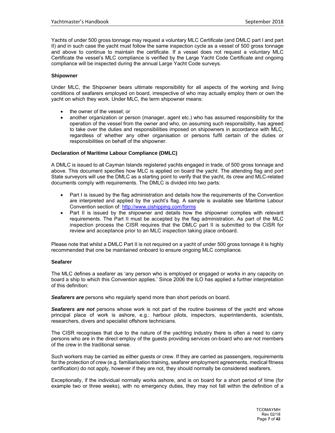Yachts of under 500 gross tonnage may request a voluntary MLC Certificate (and DMLC part I and part II) and in such case the yacht must follow the same inspection cycle as a vessel of 500 gross tonnage and above to continue to maintain the certificate. If a vessel does not request a voluntary MLC Certificate the vessel's MLC compliance is verified by the Large Yacht Code Certificate and ongoing compliance will be inspected during the annual Large Yacht Code surveys.

#### **Shipowner**

Under MLC, the Shipowner bears ultimate responsibility for all aspects of the working and living conditions of seafarers employed on board, irrespective of who may actually employ them or own the yacht on which they work. Under MLC, the term shipowner means:

- the owner of the vessel; or
- another organization or person (manager, agent etc.) who has assumed responsibility for the operation of the vessel from the owner and who, on assuming such responsibility, has agreed to take over the duties and responsibilities imposed on shipowners in accordance with MLC, regardless of whether any other organisation or persons fulfil certain of the duties or responsibilities on behalf of the shipowner.

#### **Declaration of Maritime Labour Compliance (DMLC)**

A DMLC is issued to all Cayman Islands registered yachts engaged in trade, of 500 gross tonnage and above. This document specifies how MLC is applied on board the yacht. The attending flag and port State surveyors will use the DMLC as a starting point to verify that the yacht, its crew and MLC-related documents comply with requirements. The DMLC is divided into two parts:

- Part I is issued by the flag administration and details how the requirements of the Convention are interpreted and applied by the yacht's flag. A sample is available see Maritime Labour Convention section of: http://www.cishipping.com/forms
- Part II is issued by the shipowner and details how the shipowner complies with relevant requirements. The Part II must be accepted by the flag administration. As part of the MLC inspection process the CISR requires that the DMLC part II is submitted to the CISR for review and acceptance prior to an MLC inspection taking place onboard.

Please note that whilst a DMLC Part II is not required on a yacht of under 500 gross tonnage it is highly recommended that one be maintained onboard to ensure ongoing MLC compliance.

#### **Seafarer**

The MLC defines a seafarer as 'any person who is employed or engaged or works in any capacity on board a ship to which this Convention applies.' Since 2006 the ILO has applied a further interpretation of this definition:

*Seafarers are* persons who regularly spend more than short periods on board.

*Seafarers are not* persons whose work is not part of the routine business of the yacht and whose principal place of work is ashore, e.g.: harbour pilots, inspectors, superintendents, scientists, researchers, divers and specialist offshore technicians.

The CISR recognises that due to the nature of the yachting industry there is often a need to carry persons who are in the direct employ of the guests providing services on-board who are not members of the crew in the traditional sense.

Such workers may be carried as either guests or crew. If they are carried as passengers, requirements for the protection of crew (e.g. familiarisation training, seafarer employment agreements, medical fitness certification) do not apply, however if they are not, they should normally be considered seafarers.

Exceptionally, if the individual normally works ashore, and is on board for a short period of time (for example two or three weeks), with no emergency duties, they may not fall within the definition of a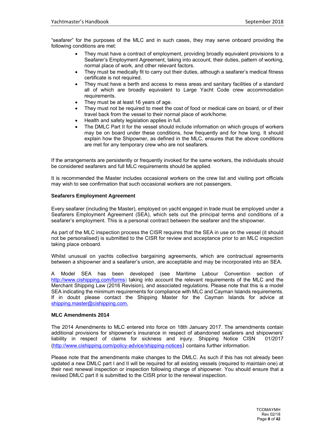"seafarer" for the purposes of the MLC and in such cases, they may serve onboard providing the following conditions are met:

- They must have a contract of employment, providing broadly equivalent provisions to a Seafarer's Employment Agreement, taking into account, their duties, pattern of working, normal place of work, and other relevant factors.
- They must be medically fit to carry out their duties, although a seafarer's medical fitness certificate is not required.
- They must have a berth and access to mess areas and sanitary facilities of a standard all of which are broadly equivalent to Large Yacht Code crew accommodation requirements.
- They must be at least 16 years of age.
- They must not be required to meet the cost of food or medical care on board, or of their travel back from the vessel to their normal place of work/home.
- Health and safety legislation applies in full.
- The DMLC Part II for the vessel should include information on which groups of workers may be on board under these conditions, how frequently and for how long. It should explain how the Shipowner, as defined in the MLC, ensures that the above conditions are met for any temporary crew who are not seafarers.

If the arrangements are persistently or frequently invoked for the same workers, the individuals should be considered seafarers and full MLC requirements should be applied.

It is recommended the Master includes occasional workers on the crew list and visiting port officials may wish to see confirmation that such occasional workers are not passengers.

## **Seafarers Employment Agreement**

Every seafarer (including the Master), employed on yacht engaged in trade must be employed under a Seafarers Employment Agreement (SEA), which sets out the principal terms and conditions of a seafarer's employment. This is a personal contract between the seafarer and the shipowner.

As part of the MLC inspection process the CISR requires that the SEA in use on the vessel (it should not be personalised) is submitted to the CISR for review and acceptance prior to an MLC inspection taking place onboard.

Whilst unusual on yachts collective bargaining agreements, which are contractual agreements between a shipowner and a seafarer's union, are acceptable and may be incorporated into an SEA.

A Model SEA has been developed (see Maritime Labour Convention section of http://www.cishipping.com/forms) taking into account the relevant requirements of the MLC and the Merchant Shipping Law (2016 Revision), and associated regulations. Please note that this is a model SEA indicating the minimum requirements for compliance with MLC and Cayman Islands requirements. If in doubt please contact the Shipping Master for the Cayman Islands for advice at shipping.master@cishipping.com.

#### **MLC Amendments 2014**

The 2014 Amendments to MLC entered into force on 18th January 2017. The amendments contain additional provisions for shipowner's insurance in respect of abandoned seafarers and shipowners' liability in respect of claims for sickness and injury. Shipping Notice CISN 01/2017 (http://www.cishipping.com/policy-advice/shipping-notices) contains further information.

Please note that the amendments make changes to the DMLC. As such if this has not already been updated a new DMLC part I and II will be required for all existing vessels (required to maintain one) at their next renewal inspection or inspection following change of shipowner. You should ensure that a revised DMLC part II is submitted to the CISR prior to the renewal inspection.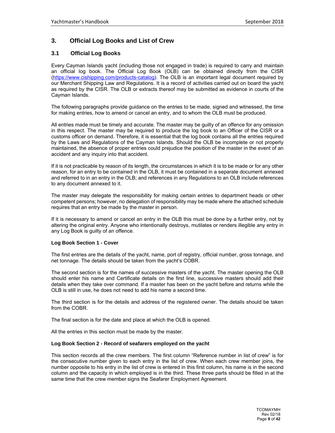# **3. Official Log Books and List of Crew**

## **3.1 Official Log Books**

Every Cayman Islands yacht (including those not engaged in trade) is required to carry and maintain an official log book. The Official Log Book (OLB) can be obtained directly from the CISR (https://www.cishipping.com/products-catalog). The OLB is an important legal document required by our Merchant Shipping Law and Regulations. It is a record of activities carried out on board the yacht as required by the CISR. The OLB or extracts thereof may be submitted as evidence in courts of the Cayman Islands.

The following paragraphs provide guidance on the entries to be made, signed and witnessed, the time for making entries, how to amend or cancel an entry, and to whom the OLB must be produced.

All entries made must be timely and accurate. The master may be guilty of an offence for any omission in this respect. The master may be required to produce the log book to an Officer of the CISR or a customs officer on demand. Therefore, it is essential that the log book contains all the entries required by the Laws and Regulations of the Cayman Islands. Should the OLB be incomplete or not properly maintained, the absence of proper entries could prejudice the position of the master in the event of an accident and any inquiry into that accident.

If it is not practicable by reason of its length, the circumstances in which it is to be made or for any other reason, for an entry to be contained in the OLB, it must be contained in a separate document annexed and referred to in an entry in the OLB; and references in any Regulations to an OLB include references to any document annexed to it.

The master may delegate the responsibility for making certain entries to department heads or other competent persons; however, no delegation of responsibility may be made where the attached schedule requires that an entry be made by the master in person.

If it is necessary to amend or cancel an entry in the OLB this must be done by a further entry, not by altering the original entry. Anyone who intentionally destroys, mutilates or renders illegible any entry in any Log Book is guilty of an offence.

## **Log Book Section 1 - Cover**

The first entries are the details of the yacht, name, port of registry, official number, gross tonnage, and net tonnage. The details should be taken from the yacht's COBR.

The second section is for the names of successive masters of the yacht. The master opening the OLB should enter his name and Certificate details on the first line, successive masters should add their details when they take over command. If a master has been on the yacht before and returns while the OLB is still in use, he does not need to add his name a second time.

The third section is for the details and address of the registered owner. The details should be taken from the COBR.

The final section is for the date and place at which the OLB is opened.

All the entries in this section must be made by the master.

#### **Log Book Section 2 - Record of seafarers employed on the yacht**

This section records all the crew members. The first column "Reference number in list of crew" is for the consecutive number given to each entry in the list of crew. When each crew member joins, the number opposite to his entry in the list of crew is entered in this first column, his name is in the second column and the capacity in which employed is in the third. These three parts should be filled in at the same time that the crew member signs the Seafarer Employment Agreement.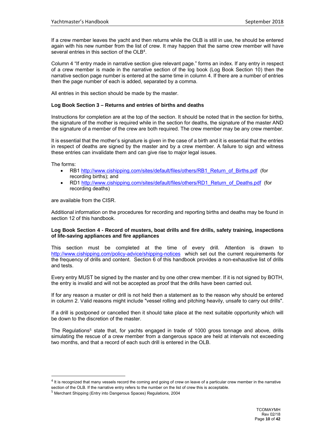If a crew member leaves the yacht and then returns while the OLB is still in use, he should be entered again with his new number from the list of crew. It may happen that the same crew member will have several entries in this section of the OLB4.

Column 4 "If entry made in narrative section give relevant page." forms an index. If any entry in respect of a crew member is made in the narrative section of the log book (Log Book Section 10) then the narrative section page number is entered at the same time in column 4. If there are a number of entries then the page number of each is added, separated by a comma.

All entries in this section should be made by the master.

#### **Log Book Section 3 – Returns and entries of births and deaths**

Instructions for completion are at the top of the section. It should be noted that in the section for births, the signature of the mother is required while in the section for deaths, the signature of the master AND the signature of a member of the crew are both required. The crew member may be any crew member.

It is essential that the mother's signature is given in the case of a birth and it is essential that the entries in respect of deaths are signed by the master and by a crew member. A failure to sign and witness these entries can invalidate them and can give rise to major legal issues.

The forms:

- RB1 http://www.cishipping.com/sites/default/files/others/RB1\_Return\_of\_Births.pdf (for recording births); and
- RD1 http://www.cishipping.com/sites/default/files/others/RD1\_Return\_of\_Deaths.pdf (for recording deaths)

are available from the CISR.

Additional information on the procedures for recording and reporting births and deaths may be found in section 12 of this handbook.

## **Log Book Section 4 - Record of musters, boat drills and fire drills, safety training, inspections of life-saving appliances and fire appliances**

This section must be completed at the time of every drill. Attention is drawn to http://www.cishipping.com/policy-advice/shipping-notices which set out the current requirements for the frequency of drills and content. Section 6 of this handbook provides a non-exhaustive list of drills and tests.

Every entry MUST be signed by the master and by one other crew member. If it is not signed by BOTH, the entry is invalid and will not be accepted as proof that the drills have been carried out.

If for any reason a muster or drill is not held then a statement as to the reason why should be entered in column 2. Valid reasons might include "vessel rolling and pitching heavily, unsafe to carry out drills".

If a drill is postponed or cancelled then it should take place at the next suitable opportunity which will be down to the discretion of the master.

The Regulations<sup>5</sup> state that, for yachts engaged in trade of 1000 gross tonnage and above, drills simulating the rescue of a crew member from a dangerous space are held at intervals not exceeding two months, and that a record of each such drill is entered in the OLB.

 $4$  It is recognized that many vessels record the coming and going of crew on leave of a particular crew member in the narrative section of the OLB. If the narrative entry refers to the number on the list of crew this is acceptable.

<sup>5</sup> Merchant Shipping (Entry into Dangerous Spaces) Regulations, 2004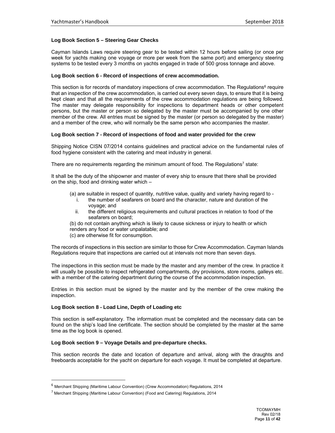## **Log Book Section 5 – Steering Gear Checks**

Cayman Islands Laws require steering gear to be tested within 12 hours before sailing (or once per week for yachts making one voyage or more per week from the same port) and emergency steering systems to be tested every 3 months on yachts engaged in trade of 500 gross tonnage and above.

#### **Log Book section 6 - Record of inspections of crew accommodation.**

This section is for records of mandatory inspections of crew accommodation. The Regulations<sup>6</sup> require that an inspection of the crew accommodation, is carried out every seven days, to ensure that it is being kept clean and that all the requirements of the crew accommodation regulations are being followed. The master may delegate responsibility for inspections to department heads or other competent persons, but the master or person so delegated by the master must be accompanied by one other member of the crew. All entries must be signed by the master (or person so delegated by the master) and a member of the crew, who will normally be the same person who accompanies the master.

## **Log Book section 7 - Record of inspections of food and water provided for the crew**

Shipping Notice CISN 07/2014 contains guidelines and practical advice on the fundamental rules of food hygiene consistent with the catering and meat industry in general.

There are no requirements regarding the minimum amount of food. The Regulations<sup>7</sup> state:

It shall be the duty of the shipowner and master of every ship to ensure that there shall be provided on the ship, food and drinking water which –

- (a) are suitable in respect of quantity, nutritive value, quality and variety having regard to
	- i. the number of seafarers on board and the character, nature and duration of the voyage; and
	- ii. the different religious requirements and cultural practices in relation to food of the seafarers on board;
- (b) do not contain anything which is likely to cause sickness or injury to health or which renders any food or water unpalatable; and
- (c) are otherwise fit for consumption.

The records of inspections in this section are similar to those for Crew Accommodation. Cayman Islands Regulations require that inspections are carried out at intervals not more than seven days.

The inspections in this section must be made by the master and any member of the crew. In practice it will usually be possible to inspect refrigerated compartments, dry provisions, store rooms, galleys etc. with a member of the catering department during the course of the accommodation inspection.

Entries in this section must be signed by the master and by the member of the crew making the inspection.

## **Log Book section 8 - Load Line, Depth of Loading etc**

This section is self-explanatory. The information must be completed and the necessary data can be found on the ship's load line certificate. The section should be completed by the master at the same time as the log book is opened.

## **Log Book section 9 – Voyage Details and pre-departure checks.**

This section records the date and location of departure and arrival, along with the draughts and freeboards acceptable for the yacht on departure for each voyage. It must be completed at departure.

 $<sup>6</sup>$  Merchant Shipping (Maritime Labour Convention) (Crew Accommodation) Regulations, 2014</sup>

 $7$  Merchant Shipping (Maritime Labour Convention) (Food and Catering) Regulations, 2014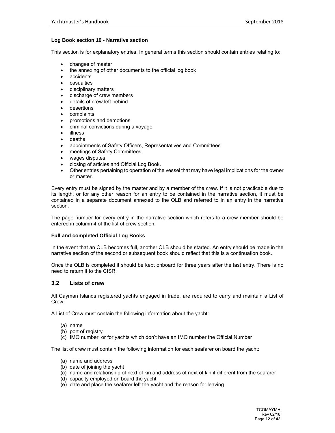## **Log Book section 10 - Narrative section**

This section is for explanatory entries. In general terms this section should contain entries relating to:

- changes of master
- the annexing of other documents to the official log book
- accidents
- casualties
- disciplinary matters
- discharge of crew members
- details of crew left behind
- desertions
- complaints
- promotions and demotions
- criminal convictions during a voyage
- illness
- deaths
- appointments of Safety Officers, Representatives and Committees
- meetings of Safety Committees
- wages disputes
- closing of articles and Official Log Book.
- Other entries pertaining to operation of the vessel that may have legal implications for the owner or master.

Every entry must be signed by the master and by a member of the crew. If it is not practicable due to its length, or for any other reason for an entry to be contained in the narrative section, it must be contained in a separate document annexed to the OLB and referred to in an entry in the narrative section.

The page number for every entry in the narrative section which refers to a crew member should be entered in column 4 of the list of crew section.

#### **Full and completed Official Log Books**

In the event that an OLB becomes full, another OLB should be started. An entry should be made in the narrative section of the second or subsequent book should reflect that this is a continuation book.

Once the OLB is completed it should be kept onboard for three years after the last entry. There is no need to return it to the CISR.

## **3.2 Lists of crew**

All Cayman Islands registered yachts engaged in trade, are required to carry and maintain a List of Crew.

A List of Crew must contain the following information about the yacht:

- (a) name
- (b) port of registry
- (c) IMO number, or for yachts which don't have an IMO number the Official Number

The list of crew must contain the following information for each seafarer on board the yacht:

- (a) name and address
- (b) date of joining the yacht
- (c) name and relationship of next of kin and address of next of kin if different from the seafarer
- (d) capacity employed on board the yacht
- (e) date and place the seafarer left the yacht and the reason for leaving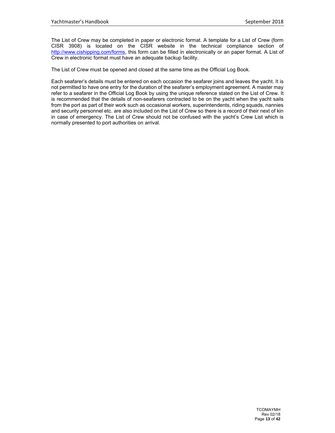The List of Crew may be completed in paper or electronic format. A template for a List of Crew (form CISR 3908) is located on the CISR website in the technical compliance section of http://www.cishipping.com/forms, this form can be filled in electronically or an paper format. A List of Crew in electronic format must have an adequate backup facility.

The List of Crew must be opened and closed at the same time as the Official Log Book.

Each seafarer's details must be entered on each occasion the seafarer joins and leaves the yacht. It is not permitted to have one entry for the duration of the seafarer's employment agreement. A master may refer to a seafarer in the Official Log Book by using the unique reference stated on the List of Crew. It is recommended that the details of non-seafarers contracted to be on the yacht when the yacht sails from the port as part of their work such as occasional workers, superintendents, riding squads, nannies and security personnel etc. are also included on the List of Crew so there is a record of their next of kin in case of emergency. The List of Crew should not be confused with the yacht's Crew List which is normally presented to port authorities on arrival.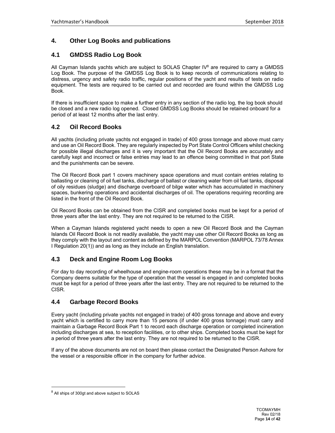# **4. Other Log Books and publications**

# **4.1 GMDSS Radio Log Book**

All Cayman Islands yachts which are subject to SOLAS Chapter IV<sup>8</sup> are required to carry a GMDSS Log Book. The purpose of the GMDSS Log Book is to keep records of communications relating to distress, urgency and safety radio traffic, regular positions of the yacht and results of tests on radio equipment. The tests are required to be carried out and recorded are found within the GMDSS Log Book.

If there is insufficient space to make a further entry in any section of the radio log, the log book should be closed and a new radio log opened. Closed GMDSS Log Books should be retained onboard for a period of at least 12 months after the last entry.

# **4.2 Oil Record Books**

All yachts (including private yachts not engaged in trade) of 400 gross tonnage and above must carry and use an Oil Record Book. They are regularly inspected by Port State Control Officers whilst checking for possible illegal discharges and it is very important that the Oil Record Books are accurately and carefully kept and incorrect or false entries may lead to an offence being committed in that port State and the punishments can be severe.

The Oil Record Book part 1 covers machinery space operations and must contain entries relating to ballasting or cleaning of oil fuel tanks, discharge of ballast or cleaning water from oil fuel tanks, disposal of oily residues (sludge) and discharge overboard of bilge water which has accumulated in machinery spaces, bunkering operations and accidental discharges of oil. The operations requiring recording are listed in the front of the Oil Record Book.

Oil Record Books can be obtained from the CISR and completed books must be kept for a period of three years after the last entry. They are not required to be returned to the CISR.

When a Cayman Islands registered yacht needs to open a new Oil Record Book and the Cayman Islands Oil Record Book is not readily available, the yacht may use other Oil Record Books as long as they comply with the layout and content as defined by the MARPOL Convention (MARPOL 73/78 Annex I Regulation 20(1)) and as long as they include an English translation.

# **4.3 Deck and Engine Room Log Books**

For day to day recording of wheelhouse and engine-room operations these may be in a format that the Company deems suitable for the type of operation that the vessel is engaged in and completed books must be kept for a period of three years after the last entry. They are not required to be returned to the CISR.

# **4.4 Garbage Record Books**

Every yacht (including private yachts not engaged in trade) of 400 gross tonnage and above and every yacht which is certified to carry more than 15 persons (if under 400 gross tonnage) must carry and maintain a Garbage Record Book Part 1 to record each discharge operation or completed incineration including discharges at sea, to reception facilities, or to other ships. Completed books must be kept for a period of three years after the last entry. They are not required to be returned to the CISR.

If any of the above documents are not on board then please contact the Designated Person Ashore for the vessel or a responsible officer in the company for further advice.

 $8$  All ships of 300qt and above subject to SOLAS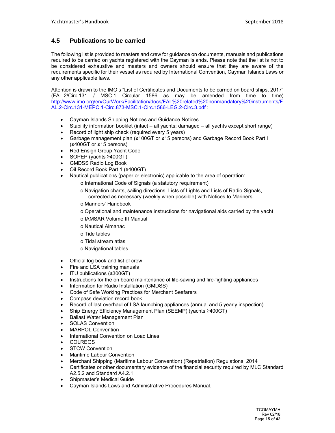# **4.5 Publications to be carried**

The following list is provided to masters and crew for guidance on documents, manuals and publications required to be carried on yachts registered with the Cayman Islands. Please note that the list is not to be considered exhaustive and masters and owners should ensure that they are aware of the requirements specific for their vessel as required by International Convention, Cayman Islands Laws or any other applicable laws.

Attention is drawn to the IMO's "List of Certificates and Documents to be carried on board ships, 2017" (FAL.2/Circ.131 / MSC.1 Circular 1586 as may be amended from time to time) http://www.imo.org/en/OurWork/Facilitation/docs/FAL%20related%20nonmandatory%20instruments/F AL.2-Circ.131-MEPC.1-Circ.873-MSC.1-Circ.1586-LEG.2-Circ.3.pdf :

- Cayman Islands Shipping Notices and Guidance Notices
- Stability information booklet (intact all yachts; damaged all yachts except short range)
- Record of light ship check (required every 5 years)
- Garbage management plan (≥100GT or ≥15 persons) and Garbage Record Book Part I (≥400GT or ≥15 persons)
- Red Ensign Group Yacht Code
- SOPEP (yachts ≥400GT)
- GMDSS Radio Log Book
- Oil Record Book Part 1 (≥400GT)
- Nautical publications (paper or electronic) applicable to the area of operation:
	- o International Code of Signals (a statutory requirement)
	- o Navigation charts, sailing directions, Lists of Lights and Lists of Radio Signals, corrected as necessary (weekly when possible) with Notices to Mariners
	- o Mariners' Handbook
	- o Operational and maintenance instructions for navigational aids carried by the yacht
	- o IAMSAR Volume III Manual
	- o Nautical Almanac
	- o Tide tables
	- o Tidal stream atlas
	- o Navigational tables
- Official log book and list of crew
- Fire and LSA training manuals
- ITU publications (≥300GT)
- Instructions for the on board maintenance of life-saving and fire-fighting appliances
- Information for Radio Installation (GMDSS)
- Code of Safe Working Practices for Merchant Seafarers
- Compass deviation record book
- Record of last overhaul of LSA launching appliances (annual and 5 yearly inspection)
- Ship Energy Efficiency Management Plan (SEEMP) (yachts ≥400GT)
- Ballast Water Management Plan
- SOLAS Convention
- MARPOL Convention
- International Convention on Load Lines
- COLREGS
- STCW Convention
- Maritime Labour Convention
- Merchant Shipping (Maritime Labour Convention) (Repatriation) Regulations, 2014
- Certificates or other documentary evidence of the financial security required by MLC Standard A2.5.2 and Standard A4.2.1.
- Shipmaster's Medical Guide
- Cayman Islands Laws and Administrative Procedures Manual.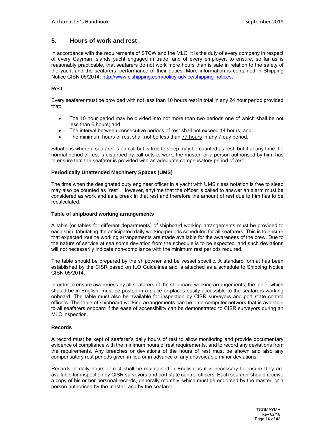## **5. Hours of work and rest**

In accordance with the requirements of STCW and the MLC, it is the duty of every company in respect of every Cayman Islands yacht engaged in trade, and of every employer, to ensure, so far as is reasonably practicable, that seafarers do not work more hours than is safe in relation to the safety of the yacht and the seafarers' performance of their duties. More information is contained in Shipping Notice CISN 05/2014: http://www.cishipping.com/policy-advice/shipping-notices.

## **Rest**

Every seafarer must be provided with not less than 10 hours rest in total in any 24 hour period provided that:

- The 10 hour period may be divided into not more than two periods one of which shall be not less than 6 hours; and
- The interval between consecutive periods of rest shall not exceed 14 hours; and
- The minimum hours of rest shall not be less than 77 hours in any 7 day period.

Situations where a seafarer is on call but is free to sleep may be counted as rest, but if at any time the normal period of rest is disturbed by call-outs to work, the master, or a person authorised by him, has to ensure that the seafarer is provided with an adequate compensatory period of rest.

## **Periodically Unattended Machinery Spaces (UMS)**

The time when the designated duty engineer officer in a yacht with UMS class notation is free to sleep may also be counted as "rest". However, anytime that the officer is called to answer an alarm must be considered as work and as a break in that rest and therefore the amount of rest due to him has to be recalculated.

#### **Table of shipboard working arrangements**

A table (or tables for different departments) of shipboard working arrangements must be provided to each ship, tabulating the anticipated daily working periods scheduled for all seafarers. This is to ensure that expected routine working arrangements are made available for the awareness of the crew. Due to the nature of service at sea some deviation from the schedule is to be expected, and such deviations will not necessarily indicate non-compliance with the minimum rest periods required.

The table should be prepared by the shipowner and be vessel specific. A standard format has been established by the CISR based on ILO Guidelines and is attached as a schedule to Shipping Notice CISN 05/2014.

In order to ensure awareness by all seafarers of the shipboard working arrangements, the table, which should be in English, must be posted in a place or places easily accessible to the seafarers working onboard. The table must also be available for inspection by CISR surveyors and port state control officers. The table of shipboard working arrangements can be on a computer network that is available to all seafarers onboard if the ease of accessibility can be demonstrated to CISR surveyors during an MLC inspection.

#### **Records**

A record must be kept of seafarer's daily hours of rest to allow monitoring and provide documentary evidence of compliance with the minimum hours of rest requirements, and to record any deviations from the requirements. Any breaches or deviations of the hours of rest must be shown and also any compensatory rest periods given in lieu or in advance of any unavoidable minor deviations.

Records of daily hours of rest shall be maintained in English as it is necessary to ensure they are available for inspection by CISR surveyors and port state control officers. Each seafarer should receive a copy of his or her personal records, generally monthly, which must be endorsed by the master, or a person authorised by the master, and by the seafarer.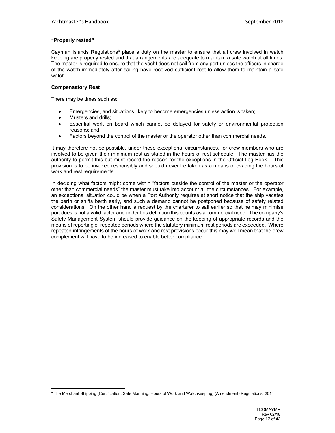#### **"Properly rested"**

Cayman Islands Regulations<sup>9</sup> place a duty on the master to ensure that all crew involved in watch keeping are properly rested and that arrangements are adequate to maintain a safe watch at all times. The master is required to ensure that the yacht does not sail from any port unless the officers in charge of the watch immediately after sailing have received sufficient rest to allow them to maintain a safe watch.

#### **Compensatory Rest**

There may be times such as:

- Emergencies, and situations likely to become emergencies unless action is taken;
- Musters and drills;
- Essential work on board which cannot be delayed for safety or environmental protection reasons; and
- Factors beyond the control of the master or the operator other than commercial needs.

It may therefore not be possible, under these exceptional circumstances, for crew members who are involved to be given their minimum rest as stated in the hours of rest schedule. The master has the authority to permit this but must record the reason for the exceptions in the Official Log Book. This provision is to be invoked responsibly and should never be taken as a means of evading the hours of work and rest requirements.

In deciding what factors might come within "factors outside the control of the master or the operator other than commercial needs" the master must take into account all the circumstances. For example, an exceptional situation could be when a Port Authority requires at short notice that the ship vacates the berth or shifts berth early, and such a demand cannot be postponed because of safety related considerations. On the other hand a request by the charterer to sail earlier so that he may minimise port dues is not a valid factor and under this definition this counts as a commercial need. The company's Safety Management System should provide guidance on the keeping of appropriate records and the means of reporting of repeated periods where the statutory minimum rest periods are exceeded. Where repeated infringements of the hours of work and rest provisions occur this may well mean that the crew complement will have to be increased to enable better compliance.

 9 The Merchant Shipping (Certification, Safe Manning, Hours of Work and Watchkeeping) (Amendment) Regulations, 2014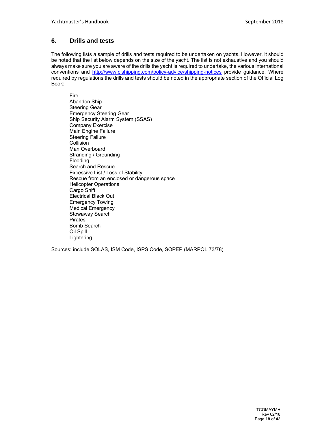# **6. Drills and tests**

The following lists a sample of drills and tests required to be undertaken on yachts. However, it should be noted that the list below depends on the size of the yacht. The list is not exhaustive and you should always make sure you are aware of the drills the yacht is required to undertake, the various international conventions and http://www.cishipping.com/policy-advice/shipping-notices provide guidance. Where required by regulations the drills and tests should be noted in the appropriate section of the Official Log Book:

Fire Abandon Ship Steering Gear Emergency Steering Gear Ship Security Alarm System (SSAS) Company Exercise Main Engine Failure Steering Failure Collision Man Overboard Stranding / Grounding Flooding Search and Rescue Excessive List / Loss of Stability Rescue from an enclosed or dangerous space Helicopter Operations Cargo Shift Electrical Black Out Emergency Towing Medical Emergency Stowaway Search Pirates Bomb Search Oil Spill Lightering

Sources: include SOLAS, ISM Code, ISPS Code, SOPEP (MARPOL 73/78)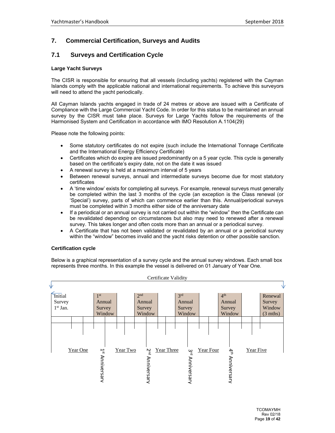# **7. Commercial Certification, Surveys and Audits**

# **7.1 Surveys and Certification Cycle**

## **Large Yacht Surveys**

The CISR is responsible for ensuring that all vessels (including yachts) registered with the Cayman Islands comply with the applicable national and international requirements. To achieve this surveyors will need to attend the yacht periodically.

All Cayman Islands yachts engaged in trade of 24 metres or above are issued with a Certificate of Compliance with the Large Commercial Yacht Code. In order for this status to be maintained an annual survey by the CISR must take place. Surveys for Large Yachts follow the requirements of the Harmonised System and Certification in accordance with IMO Resolution A.1104(29)

Please note the following points:

- Some statutory certificates do not expire (such include the International Tonnage Certificate and the International Energy Efficiency Certificate)
- Certificates which do expire are issued predominantly on a 5 year cycle. This cycle is generally based on the certificate's expiry date, not on the date it was issued
- A renewal survey is held at a maximum interval of 5 years
- Between renewal surveys, annual and intermediate surveys become due for most statutory certificates
- A 'time window' exists for completing all surveys. For example, renewal surveys must generally be completed within the last 3 months of the cycle (an exception is the Class renewal (or 'Special') survey, parts of which can commence earlier than this. Annual/periodical surveys must be completed within 3 months either side of the anniversary date
- If a periodical or an annual survey is not carried out within the "window" then the Certificate can be revalidated depending on circumstances but also may need to renewed after a renewal survey. This takes longer and often costs more than an annual or a periodical survey.
- A Certificate that has not been validated or revalidated by an annual or a periodical survey within the "window" becomes invalid and the yacht risks detention or other possible sanction.

## **Certification cycle**

Below is a graphical representation of a survey cycle and the annual survey windows. Each small box represents three months. In this example the vessel is delivered on 01 January of Year One.

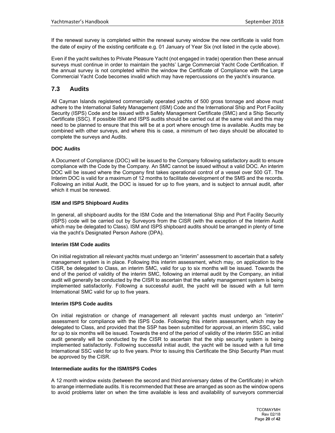If the renewal survey is completed within the renewal survey window the new certificate is valid from the date of expiry of the existing certificate e.g. 01 January of Year Six (not listed in the cycle above).

Even if the yacht switches to Private Pleasure Yacht (not engaged in trade) operation then these annual surveys must continue in order to maintain the yachts' Large Commercial Yacht Code Certification. If the annual survey is not completed within the window the Certificate of Compliance with the Large Commercial Yacht Code becomes invalid which may have repercussions on the yacht's insurance.

# **7.3 Audits**

All Cayman Islands registered commercially operated yachts of 500 gross tonnage and above must adhere to the International Safety Management (ISM) Code and the International Ship and Port Facility Security (ISPS) Code and be issued with a Safety Management Certificate (SMC) and a Ship Security Certificate (SSC). If possible ISM and ISPS audits should be carried out at the same visit and this may need to be planned to ensure that this will be at a port where enough time is available. Audits may be combined with other surveys, and where this is case, a minimum of two days should be allocated to complete the surveys and Audits.

## **DOC Audits**

A Document of Compliance (DOC) will be issued to the Company following satisfactory audit to ensure compliance with the Code by the Company. An SMC cannot be issued without a valid DOC. An interim DOC will be issued where the Company first takes operational control of a vessel over 500 GT. The Interim DOC is valid for a maximum of 12 months to facilitate development of the SMS and the records. Following an initial Audit, the DOC is issued for up to five years, and is subject to annual audit, after which it must be renewed.

## **ISM and ISPS Shipboard Audits**

In general, all shipboard audits for the ISM Code and the International Ship and Port Facility Security (ISPS) code will be carried out by Surveyors from the CISR (with the exception of the Interim Audit which may be delegated to Class). ISM and ISPS shipboard audits should be arranged in plenty of time via the yacht's Designated Person Ashore (DPA).

## **Interim ISM Code audits**

On initial registration all relevant yachts must undergo an "interim" assessment to ascertain that a safety management system is in place. Following this interim assessment, which may, on application to the CISR, be delegated to Class, an interim SMC, valid for up to six months will be issued. Towards the end of the period of validity of the interim SMC, following an internal audit by the Company, an initial audit will generally be conducted by the CISR to ascertain that the safety management system is being implemented satisfactorily. Following a successful audit, the yacht will be issued with a full term International SMC valid for up to five years.

## **Interim ISPS Code audits**

On initial registration or change of management all relevant yachts must undergo an "interim" assessment for compliance with the ISPS Code. Following this interim assessment, which may be delegated to Class, and provided that the SSP has been submitted for approval, an interim SSC, valid for up to six months will be issued. Towards the end of the period of validity of the interim SSC an initial audit generally will be conducted by the CISR to ascertain that the ship security system is being implemented satisfactorily. Following successful initial audit, the yacht will be issued with a full time International SSC valid for up to five years. Prior to issuing this Certificate the Ship Security Plan must be approved by the CISR.

## **Intermediate audits for the ISM/ISPS Codes**

A 12 month window exists (between the second and third anniversary dates of the Certificate) in which to arrange intermediate audits. It is recommended that these are arranged as soon as the window opens to avoid problems later on when the time available is less and availability of surveyors commercial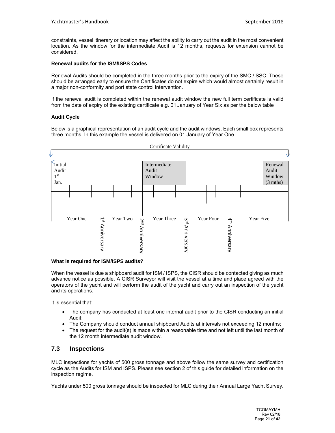constraints, vessel itinerary or location may affect the ability to carry out the audit in the most convenient location. As the window for the intermediate Audit is 12 months, requests for extension cannot be considered.

## **Renewal audits for the ISM/ISPS Codes**

Renewal Audits should be completed in the three months prior to the expiry of the SMC / SSC. These should be arranged early to ensure the Certificates do not expire which would almost certainly result in a major non-conformity and port state control intervention.

If the renewal audit is completed within the renewal audit window the new full term certificate is valid from the date of expiry of the existing certificate e.g. 01 January of Year Six as per the below table

## **Audit Cycle**

Below is a graphical representation of an audit cycle and the audit windows. Each small box represents three months. In this example the vessel is delivered on 01 January of Year One.



## **What is required for ISM/ISPS audits?**

When the vessel is due a shipboard audit for ISM / ISPS, the CISR should be contacted giving as much advance notice as possible. A CISR Surveyor will visit the vessel at a time and place agreed with the operators of the yacht and will perform the audit of the yacht and carry out an inspection of the yacht and its operations.

It is essential that:

- The company has conducted at least one internal audit prior to the CISR conducting an initial Audit;
- The Company should conduct annual shipboard Audits at intervals not exceeding 12 months;
- The request for the audit(s) is made within a reasonable time and not left until the last month of the 12 month intermediate audit window.

# **7.3 Inspections**

MLC inspections for yachts of 500 gross tonnage and above follow the same survey and certification cycle as the Audits for ISM and ISPS. Please see section 2 of this guide for detailed information on the inspection regime.

Yachts under 500 gross tonnage should be inspected for MLC during their Annual Large Yacht Survey.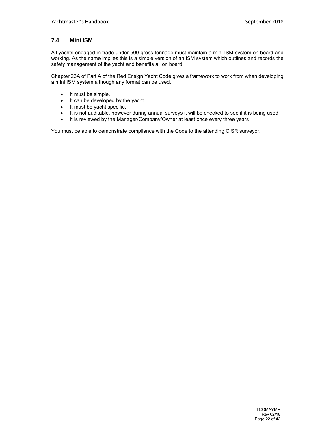## **7.4 Mini ISM**

All yachts engaged in trade under 500 gross tonnage must maintain a mini ISM system on board and working. As the name implies this is a simple version of an ISM system which outlines and records the safety management of the yacht and benefits all on board.

Chapter 23A of Part A of the Red Ensign Yacht Code gives a framework to work from when developing a mini ISM system although any format can be used.

- It must be simple.
- It can be developed by the yacht.
- It must be yacht specific.
- It is not auditable, however during annual surveys it will be checked to see if it is being used.
- It is reviewed by the Manager/Company/Owner at least once every three years

You must be able to demonstrate compliance with the Code to the attending CISR surveyor.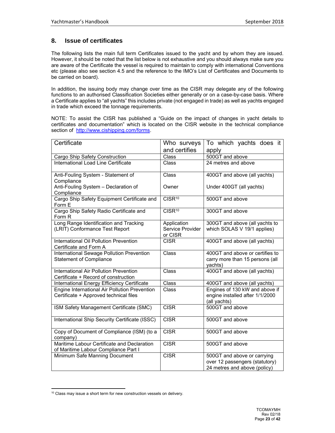# **8. Issue of certificates**

The following lists the main full term Certificates issued to the yacht and by whom they are issued. However, it should be noted that the list below is not exhaustive and you should always make sure you are aware of the Certificate the vessel is required to maintain to comply with international Conventions etc (please also see section 4.5 and the reference to the IMO's List of Certificates and Documents to be carried on board).

In addition, the issuing body may change over time as the CISR may delegate any of the following functions to an authorised Classification Societies either generally or on a case-by-case basis. Where a Certificate applies to "all yachts" this includes private (not engaged in trade) as well as yachts engaged in trade which exceed the tonnage requirements.

NOTE: To assist the CISR has published a "Guide on the impact of changes in yacht details to certificates and documentation" which is located on the CISR website in the technical compliance section of http://www.cishipping.com/forms.

| Certificate                                                                             | Who surveys                                | To which yachts does it                                                                       |
|-----------------------------------------------------------------------------------------|--------------------------------------------|-----------------------------------------------------------------------------------------------|
|                                                                                         | and certifies                              | apply                                                                                         |
| Cargo Ship Safety Construction                                                          | <b>Class</b>                               | 500GT and above                                                                               |
| International Load Line Certificate                                                     | Class                                      | 24 metres and above                                                                           |
| Anti-Fouling System - Statement of<br>Compliance                                        | Class                                      | 400GT and above (all yachts)                                                                  |
| Anti-Fouling System - Declaration of<br>Compliance                                      | Owner                                      | Under 400GT (all yachts)                                                                      |
| Cargo Ship Safety Equipment Certificate and<br>Form E                                   | CISR <sup>10</sup>                         | 500GT and above                                                                               |
| Cargo Ship Safety Radio Certificate and<br>Form R                                       | CISR <sup>10</sup>                         | 300GT and above                                                                               |
| Long Range Identification and Tracking<br>(LRIT) Conformance Test Report                | Application<br>Service Provider<br>or CISR | 300GT and above (all yachts to<br>which SOLAS V 19/1 applies)                                 |
| International Oil Pollution Prevention<br>Certificate and Form A                        | <b>CISR</b>                                | 400GT and above (all yachts)                                                                  |
| International Sewage Pollution Prevention<br><b>Statement of Compliance</b>             | Class                                      | 400GT and above or certifies to<br>carry more than 15 persons (all<br>yachts)                 |
| International Air Pollution Prevention<br>Certificate + Record of construction          | Class                                      | 400GT and above (all yachts)                                                                  |
| International Energy Efficiency Certificate                                             | Class                                      | 400GT and above (all yachts)                                                                  |
| Engine International Air Pollution Prevention<br>Certificate + Approved technical files | Class                                      | Engines of 130 kW and above if<br>engine installed after 1/1/2000<br>(all yachts)             |
| ISM Safety Management Certificate (SMC)                                                 | <b>CISR</b>                                | 500GT and above                                                                               |
| International Ship Security Certificate (ISSC)                                          | <b>CISR</b>                                | 500GT and above                                                                               |
| Copy of Document of Compliance (ISM) (to a<br>company)                                  | <b>CISR</b>                                | 500GT and above                                                                               |
| Maritime Labour Certificate and Declaration<br>of Maritime Labour Compliance Part I     | <b>CISR</b>                                | 500GT and above                                                                               |
| Minimum Safe Manning Document                                                           | <b>CISR</b>                                | 500GT and above or carrying<br>over 12 passengers (statutory)<br>24 metres and above (policy) |

<sup>&</sup>lt;sup>10</sup> Class may issue a short term for new construction vessels on delivery.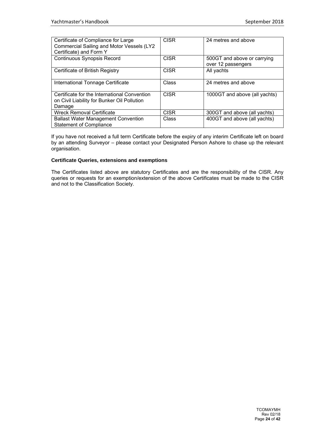| Certificate of Compliance for Large<br>Commercial Sailing and Motor Vessels (LY2<br>Certificate) and Form Y | <b>CISR</b> | 24 metres and above                               |
|-------------------------------------------------------------------------------------------------------------|-------------|---------------------------------------------------|
| Continuous Synopsis Record                                                                                  | <b>CISR</b> | 500GT and above or carrying<br>over 12 passengers |
| Certificate of British Registry                                                                             | <b>CISR</b> | All yachts                                        |
| International Tonnage Certificate                                                                           | Class       | 24 metres and above                               |
| Certificate for the International Convention<br>on Civil Liability for Bunker Oil Pollution<br>Damage       | <b>CISR</b> | 1000GT and above (all yachts)                     |
| <b>Wreck Removal Certificate</b>                                                                            | CISR        | 300GT and above (all yachts)                      |
| <b>Ballast Water Management Convention</b><br><b>Statement of Compliance</b>                                | Class       | 400GT and above (all yachts)                      |

If you have not received a full term Certificate before the expiry of any interim Certificate left on board by an attending Surveyor – please contact your Designated Person Ashore to chase up the relevant organisation.

## **Certificate Queries, extensions and exemptions**

The Certificates listed above are statutory Certificates and are the responsibility of the CISR. Any queries or requests for an exemption/extension of the above Certificates must be made to the CISR and not to the Classification Society.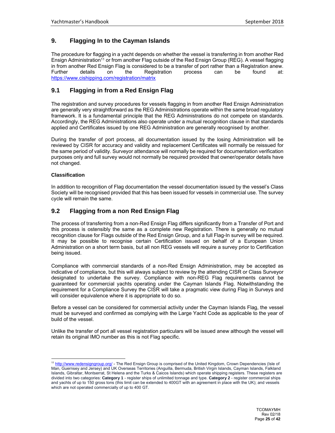# **9. Flagging In to the Cayman Islands**

The procedure for flagging in a yacht depends on whether the vessel is transferring in from another Red Ensign Administration<sup>11</sup> or from another Flag outside of the Red Ensign Group (REG). A vessel flagging in from another Red Ensign Flag is considered to be a transfer of port rather than a Registration anew. Further details on the Registration process can be found at: https://www.cishipping.com/registration/matrix

# **9.1 Flagging in from a Red Ensign Flag**

The registration and survey procedures for vessels flagging in from another Red Ensign Administration are generally very straightforward as the REG Administrations operate within the same broad regulatory framework. It is a fundamental principle that the REG Administrations do not compete on standards. Accordingly, the REG Administrations also operate under a mutual recognition clause in that standards applied and Certificates issued by one REG Administration are generally recognised by another.

During the transfer of port process, all documentation issued by the losing Administration will be reviewed by CISR for accuracy and validity and replacement Certificates will normally be reissued for the same period of validity. Surveyor attendance will normally be required for documentation verification purposes only and full survey would not normally be required provided that owner/operator details have not changed.

## **Classification**

In addition to recognition of Flag documentation the vessel documentation issued by the vessel's Class Society will be recognised provided that this has been issued for vessels in commercial use. The survey cycle will remain the same.

# **9.2 Flagging from a non Red Ensign Flag**

The process of transferring from a non-Red Ensign Flag differs significantly from a Transfer of Port and this process is ostensibly the same as a complete new Registration. There is generally no mutual recognition clause for Flags outside of the Red Ensign Group, and a full Flag-In survey will be required. It may be possible to recognise certain Certification issued on behalf of a European Union Administration on a short term basis, but all non REG vessels will require a survey prior to Certification being issued.

Compliance with commercial standards of a non-Red Ensign Administration, may be accepted as indicative of compliance, but this will always subject to review by the attending CISR or Class Surveyor designated to undertake the survey. Compliance with non-REG Flag requirements cannot be guaranteed for commercial yachts operating under the Cayman Islands Flag. Notwithstanding the requirement for a Compliance Survey the CISR will take a pragmatic view during Flag in Surveys and will consider equivalence where it is appropriate to do so.

Before a vessel can be considered for commercial activity under the Cayman Islands Flag, the vessel must be surveyed and confirmed as complying with the Large Yacht Code as applicable to the year of build of the vessel.

Unlike the transfer of port all vessel registration particulars will be issued anew although the vessel will retain its original IMO number as this is not Flag specific.

<sup>&</sup>lt;sup>11</sup> http://www.redensigngroup.org/ - The Red Ensign Group is comprised of the United Kingdom, Crown Dependencies (Isle of Man, Guernsey and Jersey) and UK Overseas Territories (Anguilla, Bermuda, British Virgin Islands, Cayman Islands, Falkland Islands, Gibraltar, Montserrat, St Helena and the Turks & Caicos Islands) which operate shipping registers. These registers are divided into two categories: **Category 1** - register ships of unlimited tonnage and type. **Category 2** - register commercial ships and yachts of up to 150 gross tons (this limit can be extended to 400GT with an agreement in place with the UK); and vessels which are not operated commercially of up to 400 GT.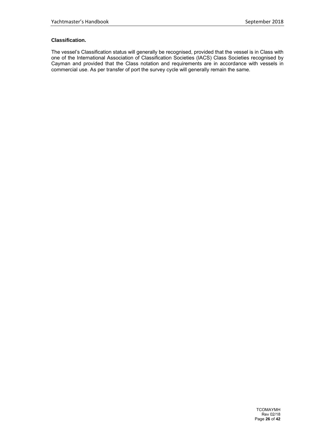## **Classification.**

The vessel's Classification status will generally be recognised, provided that the vessel is in Class with one of the International Association of Classification Societies (IACS) Class Societies recognised by Cayman and provided that the Class notation and requirements are in accordance with vessels in commercial use. As per transfer of port the survey cycle will generally remain the same.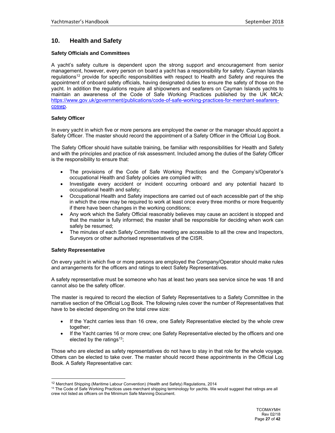# **10. Health and Safety**

## **Safety Officials and Committees**

A yacht's safety culture is dependent upon the strong support and encouragement from senior management, however, every person on board a yacht has a responsibility for safety. Cayman Islands regulations<sup>12</sup> provide for specific responsibilities with respect to Health and Safety and requires the appointment of onboard safety officials, having designated duties to ensure the safety of those on the yacht. In addition the regulations require all shipowners and seafarers on Cayman Islands yachts to maintain an awareness of the Code of Safe Working Practices published by the UK MCA: https://www.gov.uk/government/publications/code-of-safe-working-practices-for-merchant-seafarerscoswp.

## **Safety Officer**

In every yacht in which five or more persons are employed the owner or the manager should appoint a Safety Officer. The master should record the appointment of a Safety Officer in the Official Log Book.

The Safety Officer should have suitable training, be familiar with responsibilities for Health and Safety and with the principles and practice of risk assessment. Included among the duties of the Safety Officer is the responsibility to ensure that:

- The provisions of the Code of Safe Working Practices and the Company's/Operator's occupational Health and Safety policies are complied with;
- Investigate every accident or incident occurring onboard and any potential hazard to occupational health and safety;
- Occupational Health and Safety inspections are carried out of each accessible part of the ship in which the crew may be required to work at least once every three months or more frequently if there have been changes in the working conditions;
- Any work which the Safety Official reasonably believes may cause an accident is stopped and that the master is fully informed; the master shall be responsible for deciding when work can safely be resumed;
- The minutes of each Safety Committee meeting are accessible to all the crew and Inspectors, Surveyors or other authorised representatives of the CISR.

## **Safety Representative**

On every yacht in which five or more persons are employed the Company/Operator should make rules and arrangements for the officers and ratings to elect Safety Representatives.

A safety representative must be someone who has at least two years sea service since he was 18 and cannot also be the safety officer.

The master is required to record the election of Safety Representatives to a Safety Committee in the narrative section of the Official Log Book. The following rules cover the number of Representatives that have to be elected depending on the total crew size:

- If the Yacht carries less than 16 crew, one Safety Representative elected by the whole crew together;
- If the Yacht carries 16 or more crew; one Safety Representative elected by the officers and one elected by the ratings<sup>13</sup>;

Those who are elected as safety representatives do not have to stay in that role for the whole voyage. Others can be elected to take over. The master should record these appointments in the Official Log Book. A Safety Representative can:

<sup>&</sup>lt;sup>12</sup> Merchant Shipping (Maritime Labour Convention) (Health and Safety) Regulations, 2014<br><sup>13</sup> The Code of Safe Working Practices uses merchant shipping terminology for yachts. We would suggest that ratings are all crew not listed as officers on the Minimum Safe Manning Document.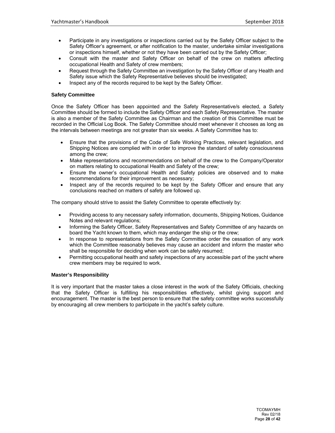- Participate in any investigations or inspections carried out by the Safety Officer subject to the Safety Officer's agreement, or after notification to the master, undertake similar investigations or inspections himself, whether or not they have been carried out by the Safety Officer;
- Consult with the master and Safety Officer on behalf of the crew on matters affecting occupational Health and Safety of crew members;
- Request through the Safety Committee an investigation by the Safety Officer of any Health and Safety issue which the Safety Representative believes should be investigated;
- Inspect any of the records required to be kept by the Safety Officer.

#### **Safety Committee**

Once the Safety Officer has been appointed and the Safety Representative/s elected, a Safety Committee should be formed to include the Safety Officer and each Safety Representative. The master is also a member of the Safety Committee as Chairman and the creation of this Committee must be recorded in the Official Log Book. The Safety Committee should meet whenever it chooses as long as the intervals between meetings are not greater than six weeks. A Safety Committee has to:

- Ensure that the provisions of the Code of Safe Working Practices, relevant legislation, and Shipping Notices are complied with in order to improve the standard of safety consciousness among the crew;
- Make representations and recommendations on behalf of the crew to the Company/Operator on matters relating to occupational Health and Safety of the crew;
- Ensure the owner's occupational Health and Safety policies are observed and to make recommendations for their improvement as necessary;
- Inspect any of the records required to be kept by the Safety Officer and ensure that any conclusions reached on matters of safety are followed up.

The company should strive to assist the Safety Committee to operate effectively by:

- Providing access to any necessary safety information, documents, Shipping Notices, Guidance Notes and relevant regulations;
- Informing the Safety Officer, Safety Representatives and Safety Committee of any hazards on board the Yacht known to them, which may endanger the ship or the crew;
- In response to representations from the Safety Committee order the cessation of any work which the Committee reasonably believes may cause an accident and inform the master who shall be responsible for deciding when work can be safely resumed;
- Permitting occupational health and safety inspections of any accessible part of the yacht where crew members may be required to work.

#### **Master's Responsibility**

It is very important that the master takes a close interest in the work of the Safety Officials, checking that the Safety Officer is fulfilling his responsibilities effectively, whilst giving support and encouragement. The master is the best person to ensure that the safety committee works successfully by encouraging all crew members to participate in the yacht's safety culture.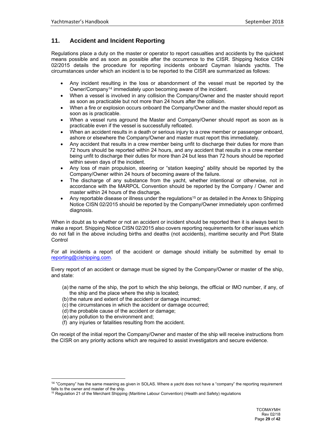# **11. Accident and Incident Reporting**

Regulations place a duty on the master or operator to report casualties and accidents by the quickest means possible and as soon as possible after the occurrence to the CISR. Shipping Notice CISN 02/2015 details the procedure for reporting incidents onboard Cayman Islands yachts. The circumstances under which an incident is to be reported to the CISR are summarized as follows:

- Any incident resulting in the loss or abandonment of the vessel must be reported by the Owner/Company14 immediately upon becoming aware of the incident.
- When a vessel is involved in any collision the Company/Owner and the master should report as soon as practicable but not more than 24 hours after the collision.
- When a fire or explosion occurs onboard the Company/Owner and the master should report as soon as is practicable.
- When a vessel runs aground the Master and Company/Owner should report as soon as is practicable even if the vessel is successfully refloated.
- When an accident results in a death or serious injury to a crew member or passenger onboard, ashore or elsewhere the Company/Owner and master must report this immediately.
- Any accident that results in a crew member being unfit to discharge their duties for more than 72 hours should be reported within 24 hours, and any accident that results in a crew member being unfit to discharge their duties for more than 24 but less than 72 hours should be reported within seven days of the incident.
- Any loss of main propulsion, steering or "station keeping" ability should be reported by the Company/Owner within 24 hours of becoming aware of the failure.
- The discharge of any substance from the yacht, whether intentional or otherwise, not in accordance with the MARPOL Convention should be reported by the Company / Owner and master within 24 hours of the discharge.
- Any reportable disease or illness under the regulations<sup>15</sup> or as detailed in the Annex to Shipping Notice CISN 02/2015 should be reported by the Company/Owner immediately upon confirmed diagnosis.

When in doubt as to whether or not an accident or incident should be reported then it is always best to make a report. Shipping Notice CISN 02/2015 also covers reporting requirements for other issues which do not fall in the above including births and deaths (not accidents), maritime security and Port State **Control** 

For all incidents a report of the accident or damage should initially be submitted by email to reporting@cishipping.com.

Every report of an accident or damage must be signed by the Company/Owner or master of the ship, and state:

- (a) the name of the ship, the port to which the ship belongs, the official or IMO number, if any, of the ship and the place where the ship is located;
- (b) the nature and extent of the accident or damage incurred;
- (c) the circumstances in which the accident or damage occurred;
- (d) the probable cause of the accident or damage;
- (e) any pollution to the environment and;

(f) any injuries or fatalities resulting from the accident.

On receipt of the initial report the Company/Owner and master of the ship will receive instructions from the CISR on any priority actions which are required to assist investigators and secure evidence.

<sup>&</sup>lt;sup>14</sup> "Company" has the same meaning as given in SOLAS. Where a yacht does not have a "company" the reporting requirement falls to the owner and master of the ship.

<sup>&</sup>lt;sup>15</sup> Regulation 21 of the Merchant Shipping (Maritime Labour Convention) (Health and Safety) regulations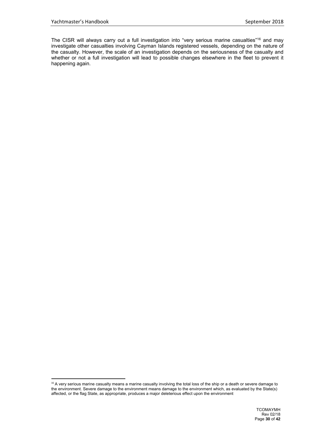The CISR will always carry out a full investigation into "very serious marine casualties"<sup>16</sup> and may investigate other casualties involving Cayman Islands registered vessels, depending on the nature of the casualty. However, the scale of an investigation depends on the seriousness of the casualty and whether or not a full investigation will lead to possible changes elsewhere in the fleet to prevent it happening again.

 <sup>16</sup> A very serious marine casualty means a marine casualty involving the total loss of the ship or a death or severe damage to the environment. Severe damage to the environment means damage to the environment which, as evaluated by the State(s) affected, or the flag State, as appropriate, produces a major deleterious effect upon the environment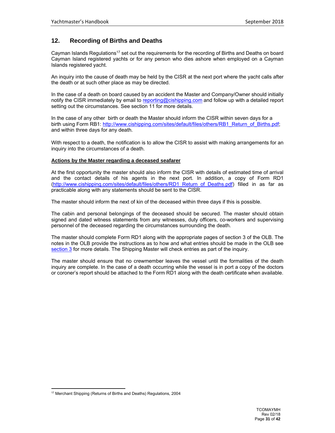# **12. Recording of Births and Deaths**

Cayman Islands Regulations<sup>17</sup> set out the requirements for the recording of Births and Deaths on board Cayman Island registered yachts or for any person who dies ashore when employed on a Cayman Islands registered yacht.

An inquiry into the cause of death may be held by the CISR at the next port where the yacht calls after the death or at such other place as may be directed.

In the case of a death on board caused by an accident the Master and Company/Owner should initially notify the CISR immediately by email to reporting@cishipping.com and follow up with a detailed report setting out the circumstances. See section 11 for more details.

In the case of any other birth or death the Master should inform the CISR within seven days for a birth using Form RB1: http://www.cishipping.com/sites/default/files/others/RB1\_Return\_of\_Births.pdf; and within three days for any death.

With respect to a death, the notification is to allow the CISR to assist with making arrangements for an inquiry into the circumstances of a death.

## **Actions by the Master regarding a deceased seafarer**

At the first opportunity the master should also inform the CISR with details of estimated time of arrival and the contact details of his agents in the next port. In addition, a copy of Form RD1 (http://www.cishipping.com/sites/default/files/others/RD1\_Return\_of\_Deaths.pdf) filled in as far as practicable along with any statements should be sent to the CISR.

The master should inform the next of kin of the deceased within three days if this is possible.

The cabin and personal belongings of the deceased should be secured. The master should obtain signed and dated witness statements from any witnesses, duty officers, co-workers and supervising personnel of the deceased regarding the circumstances surrounding the death.

The master should complete Form RD1 along with the appropriate pages of section 3 of the OLB. The notes in the OLB provide the instructions as to how and what entries should be made in the OLB see section 3 for more details. The Shipping Master will check entries as part of the inquiry.

The master should ensure that no crewmember leaves the vessel until the formalities of the death inquiry are complete. In the case of a death occurring while the vessel is in port a copy of the doctors or coroner's report should be attached to the Form RD1 along with the death certificate when available.

 <sup>17</sup> Merchant Shipping (Returns of Births and Deaths) Regulations, 2004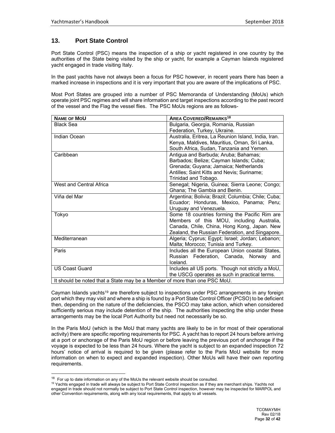# **13. Port State Control**

Port State Control (PSC) means the inspection of a ship or yacht registered in one country by the authorities of the State being visited by the ship or yacht, for example a Cayman Islands registered yacht engaged in trade visiting Italy.

In the past yachts have not always been a focus for PSC however, in recent years there has been a marked increase in inspections and it is very important that you are aware of the implications of PSC.

Most Port States are grouped into a number of PSC Memoranda of Understanding (MoUs) which operate joint PSC regimes and will share information and target inspections according to the past record of the vessel and the Flag the vessel flies. The PSC MoUs regions are as follows-

| <b>NAME OF MOU</b>                                                        | <b>AREA COVERED/REMARKS<sup>18</sup></b>            |  |
|---------------------------------------------------------------------------|-----------------------------------------------------|--|
| <b>Black Sea</b>                                                          | Bulgaria, Georgia, Romania, Russian                 |  |
|                                                                           | Federation, Turkey, Ukraine.                        |  |
| Indian Ocean                                                              | Australia, Eritrea, La Reunion Island, India, Iran. |  |
|                                                                           | Kenya, Maldives, Mauritius, Oman, Sri Lanka,        |  |
|                                                                           | South Africa, Sudan, Tanzania and Yemen.            |  |
| Caribbean                                                                 | Antigua and Barbuda; Aruba; Bahamas;                |  |
|                                                                           | Barbados; Belize; Cayman Islands; Cuba;             |  |
|                                                                           | Grenada; Guyana; Jamaica; Netherlands               |  |
|                                                                           | Antilles; Saint Kitts and Nevis; Suriname;          |  |
|                                                                           | Trinidad and Tobago.                                |  |
| West and Central Africa                                                   | Senegal; Nigeria, Guinea; Sierra Leone; Congo;      |  |
|                                                                           | Ghana; The Gambia and Benin.                        |  |
| Viña del Mar                                                              | Argentina; Bolivia; Brazil; Columbia; Chile; Cuba;  |  |
|                                                                           | Ecuador; Honduras, Mexico, Panama; Peru;            |  |
|                                                                           | Uruguay and Venezuela.                              |  |
| Tokyo                                                                     | Some 18 countries forming the Pacific Rim are       |  |
|                                                                           | Members of this MOU, including Australia,           |  |
|                                                                           | Canada, Chile, China, Hong Kong, Japan. New         |  |
|                                                                           | Zealand, the Russian Federation, and Singapore.     |  |
| Mediterranean                                                             | Algeria; Cyprus; Egypt; Israel; Jordan; Lebanon;    |  |
|                                                                           | Malta; Morocco; Tunisia and Turkey.                 |  |
| Paris                                                                     | Includes all the European Union coastal States,     |  |
|                                                                           | Russian Federation, Canada, Norway and              |  |
|                                                                           | Iceland.                                            |  |
| <b>US Coast Guard</b>                                                     | Includes all US ports. Though not strictly a MoU,   |  |
|                                                                           | the USCG operates as such in practical terms.       |  |
| It should be noted that a State may be a Member of more than one PSC MoLL |                                                     |  |

It should be noted that a State may be a Member of more than one  $\mathsf I$ 

Cayman Islands yachts<sup>19</sup> are therefore subject to inspections under PSC arrangements in any foreign port which they may visit and where a ship is found by a Port State Control Officer (PCSO) to be deficient then, depending on the nature of the deficiencies, the PSCO may take action, which when considered sufficiently serious may include detention of the ship. The authorities inspecting the ship under these arrangements may be the local Port Authority but need not necessarily be so.

In the Paris MoU (which is the MoU that many yachts are likely to be in for most of their operational activity) there are specific reporting requirements for PSC. A yacht has to report 24 hours before arriving at a port or anchorage of the Paris MoU region or before leaving the previous port of anchorage if the voyage is expected to be less than 24 hours. Where the yacht is subject to an expanded inspection 72 hours' notice of arrival is required to be given (please refer to the Paris MoU website for more information on when to expect and expanded inspection). Other MoUs will have their own reporting requirements.

<sup>&</sup>lt;sup>18</sup> For up to date information on any of the MoUs the relevant website should be consulted.<br><sup>19</sup> Yachts engaged in trade will always be subject to Port State Control inspection as if they are merchant ships. Yachts not engaged in trade should not normally be subject to Port State Control inspection, however may be inspected for MARPOL and other Convention requirements, along with any local requirements, that apply to all vessels.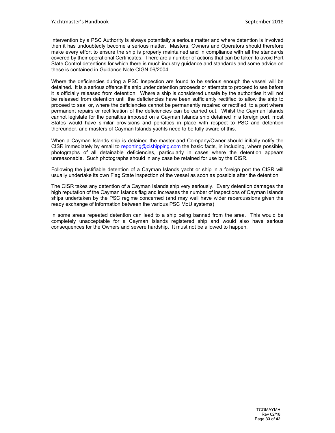Intervention by a PSC Authority is always potentially a serious matter and where detention is involved then it has undoubtedly become a serious matter. Masters, Owners and Operators should therefore make every effort to ensure the ship is properly maintained and in compliance with all the standards covered by their operational Certificates. There are a number of actions that can be taken to avoid Port State Control detentions for which there is much industry guidance and standards and some advice on these is contained in Guidance Note CIGN 06/2004.

Where the deficiencies during a PSC Inspection are found to be serious enough the vessel will be detained. It is a serious offence if a ship under detention proceeds or attempts to proceed to sea before it is officially released from detention. Where a ship is considered unsafe by the authorities it will not be released from detention until the deficiencies have been sufficiently rectified to allow the ship to proceed to sea, or, where the deficiencies cannot be permanently repaired or rectified, to a port where permanent repairs or rectification of the deficiencies can be carried out. Whilst the Cayman Islands cannot legislate for the penalties imposed on a Cayman Islands ship detained in a foreign port, most States would have similar provisions and penalties in place with respect to PSC and detention thereunder, and masters of Cayman Islands yachts need to be fully aware of this.

When a Cayman Islands ship is detained the master and Company/Owner should initially notify the CISR immediately by email to reporting@cishipping.com the basic facts, in including, where possible, photographs of all detainable deficiencies, particularly in cases where the detention appears unreasonable. Such photographs should in any case be retained for use by the CISR.

Following the justifiable detention of a Cayman Islands yacht or ship in a foreign port the CISR will usually undertake its own Flag State inspection of the vessel as soon as possible after the detention.

The CISR takes any detention of a Cayman Islands ship very seriously. Every detention damages the high reputation of the Cayman Islands flag and increases the number of inspections of Cayman Islands ships undertaken by the PSC regime concerned (and may well have wider repercussions given the ready exchange of information between the various PSC MoU systems)

In some areas repeated detention can lead to a ship being banned from the area. This would be completely unacceptable for a Cayman Islands registered ship and would also have serious consequences for the Owners and severe hardship. It must not be allowed to happen.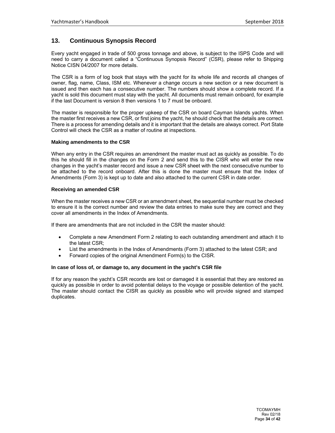# **13. Continuous Synopsis Record**

Every yacht engaged in trade of 500 gross tonnage and above, is subject to the ISPS Code and will need to carry a document called a "Continuous Synopsis Record" (CSR), please refer to Shipping Notice CISN 04/2007 for more details.

The CSR is a form of log book that stays with the yacht for its whole life and records all changes of owner, flag, name, Class, ISM etc. Whenever a change occurs a new section or a new document is issued and then each has a consecutive number. The numbers should show a complete record. If a yacht is sold this document must stay with the yacht. All documents must remain onboard, for example if the last Document is version 8 then versions 1 to 7 must be onboard.

The master is responsible for the proper upkeep of the CSR on board Cayman Islands yachts. When the master first receives a new CSR, or first joins the yacht, he should check that the details are correct. There is a process for amending details and it is important that the details are always correct. Port State Control will check the CSR as a matter of routine at inspections.

## **Making amendments to the CSR**

When any entry in the CSR requires an amendment the master must act as quickly as possible. To do this he should fill in the changes on the Form 2 and send this to the CISR who will enter the new changes in the yacht's master record and issue a new CSR sheet with the next consecutive number to be attached to the record onboard. After this is done the master must ensure that the Index of Amendments (Form 3) is kept up to date and also attached to the current CSR in date order.

## **Receiving an amended CSR**

When the master receives a new CSR or an amendment sheet, the sequential number must be checked to ensure it is the correct number and review the data entries to make sure they are correct and they cover all amendments in the Index of Amendments.

If there are amendments that are not included in the CSR the master should:

- Complete a new Amendment Form 2 relating to each outstanding amendment and attach it to the latest CSR;
- List the amendments in the Index of Amendments (Form 3) attached to the latest CSR; and
- Forward copies of the original Amendment Form(s) to the CISR.

## **In case of loss of, or damage to, any document in the yacht's CSR file**

If for any reason the yacht's CSR records are lost or damaged it is essential that they are restored as quickly as possible in order to avoid potential delays to the voyage or possible detention of the yacht. The master should contact the CISR as quickly as possible who will provide signed and stamped duplicates.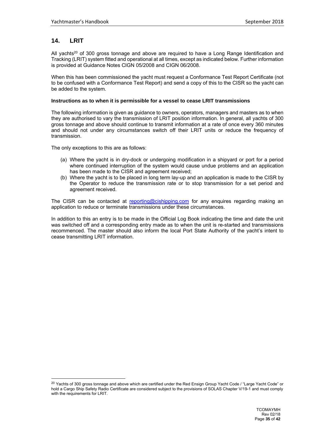# **14. LRIT**

All yachts<sup>20</sup> of 300 gross tonnage and above are required to have a Long Range Identification and Tracking (LRIT) system fitted and operational at all times, except as indicated below. Further information is provided at Guidance Notes CIGN 05/2008 and CIGN 06/2008.

When this has been commissioned the yacht must request a Conformance Test Report Certificate (not to be confused with a Conformance Test Report) and send a copy of this to the CISR so the yacht can be added to the system.

## **Instructions as to when it is permissible for a vessel to cease LRIT transmissions**

The following information is given as guidance to owners, operators, managers and masters as to when they are authorised to vary the transmission of LRIT position information. In general, all yachts of 300 gross tonnage and above should continue to transmit information at a rate of once every 360 minutes and should not under any circumstances switch off their LRIT units or reduce the frequency of transmission.

The only exceptions to this are as follows:

- (a) Where the yacht is in dry-dock or undergoing modification in a shipyard or port for a period where continued interruption of the system would cause undue problems and an application has been made to the CISR and agreement received;
- (b) Where the yacht is to be placed in long term lay-up and an application is made to the CISR by the Operator to reduce the transmission rate or to stop transmission for a set period and agreement received.

The CISR can be contacted at reporting@cishipping.com for any enquires regarding making an application to reduce or terminate transmissions under these circumstances.

In addition to this an entry is to be made in the Official Log Book indicating the time and date the unit was switched off and a corresponding entry made as to when the unit is re-started and transmissions recommenced. The master should also inform the local Port State Authority of the yacht's intent to cease transmitting LRIT information.

 $20$  Yachts of 300 gross tonnage and above which are certified under the Red Ensign Group Yacht Code / "Large Yacht Code" or hold a Cargo Ship Safety Radio Certificate are considered subject to the provisions of SOLAS Chapter V/19-1 and must comply with the requirements for LRIT.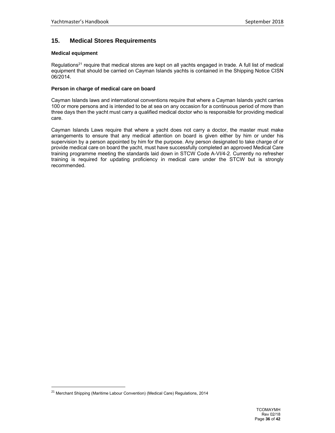# **15. Medical Stores Requirements**

## **Medical equipment**

Regulations<sup>21</sup> require that medical stores are kept on all yachts engaged in trade. A full list of medical equipment that should be carried on Cayman Islands yachts is contained in the Shipping Notice CISN 06/2014.

## **Person in charge of medical care on board**

Cayman Islands laws and international conventions require that where a Cayman Islands yacht carries 100 or more persons and is intended to be at sea on any occasion for a continuous period of more than three days then the yacht must carry a qualified medical doctor who is responsible for providing medical care.

Cayman Islands Laws require that where a yacht does not carry a doctor, the master must make arrangements to ensure that any medical attention on board is given either by him or under his supervision by a person appointed by him for the purpose. Any person designated to take charge of or provide medical care on board the yacht, must have successfully completed an approved Medical Care training programme meeting the standards laid down in STCW Code A-VI/4-2. Currently no refresher training is required for updating proficiency in medical care under the STCW but is strongly recommended.

<sup>&</sup>lt;sup>21</sup> Merchant Shipping (Maritime Labour Convention) (Medical Care) Regulations, 2014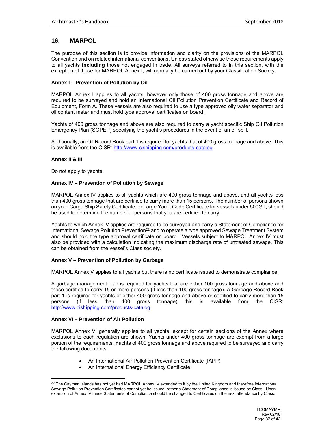# **16. MARPOL**

The purpose of this section is to provide information and clarity on the provisions of the MARPOL Convention and on related international conventions. Unless stated otherwise these requirements apply to all yachts **including** those not engaged in trade. All surveys referred to in this section, with the exception of those for MARPOL Annex I, will normally be carried out by your Classification Society.

## **Annex I – Prevention of Pollution by Oil**

MARPOL Annex I applies to all yachts, however only those of 400 gross tonnage and above are required to be surveyed and hold an International Oil Pollution Prevention Certificate and Record of Equipment, Form A. These vessels are also required to use a type approved oily water separator and oil content meter and must hold type approval certificates on board.

Yachts of 400 gross tonnage and above are also required to carry a yacht specific Ship Oil Pollution Emergency Plan (SOPEP) specifying the yacht's procedures in the event of an oil spill.

Additionally, an Oil Record Book part 1 is required for yachts that of 400 gross tonnage and above. This is available from the CISR: http://www.cishipping.com/products-catalog.

## **Annex II & III**

Do not apply to yachts.

## **Annex IV – Prevention of Pollution by Sewage**

MARPOL Annex IV applies to all yachts which are 400 gross tonnage and above, and all yachts less than 400 gross tonnage that are certified to carry more than 15 persons. The number of persons shown on your Cargo Ship Safety Certificate, or Large Yacht Code Certificate for vessels under 500GT, should be used to determine the number of persons that you are certified to carry.

Yachts to which Annex IV applies are required to be surveyed and carry a Statement of Compliance for International Sewage Pollution Prevention<sup>22</sup> and to operate a type approved Sewage Treatment System and should hold the type approval certificate on board. Vessels subject to MARPOL Annex IV must also be provided with a calculation indicating the maximum discharge rate of untreated sewage. This can be obtained from the vessel's Class society.

## **Annex V – Prevention of Pollution by Garbage**

MARPOL Annex V applies to all yachts but there is no certificate issued to demonstrate compliance.

A garbage management plan is required for yachts that are either 100 gross tonnage and above and those certified to carry 15 or more persons (if less than 100 gross tonnage). A Garbage Record Book part 1 is required for yachts of either 400 gross tonnage and above or certified to carry more than 15 persons (if less than 400 gross tonnage) this is available from the CISR: http://www.cishipping.com/products-catalog.

#### **Annex VI – Prevention of Air Pollution**

MARPOL Annex VI generally applies to all yachts, except for certain sections of the Annex where exclusions to each regulation are shown. Yachts under 400 gross tonnage are exempt from a large portion of the requirements. Yachts of 400 gross tonnage and above required to be surveyed and carry the following documents:

- An International Air Pollution Prevention Certificate (IAPP)
- An International Energy Efficiency Certificate

 $^{22}$  The Cayman Islands has not yet had MARPOL Annex IV extended to it by the United Kingdom and therefore International Sewage Pollution Prevention Certificates cannot yet be issued, rather a Statement of Compliance is issued by Class. Upon extension of Annex IV these Statements of Compliance should be changed to Certificates on the next attendance by Class.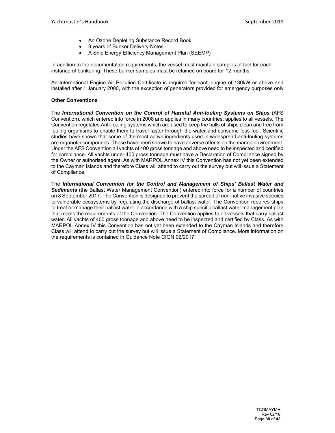- An Ozone Depleting Substance Record Book
- 3 years of Bunker Delivery Notes
- A Ship Energy Efficiency Management Plan (SEEMP)

In addition to the documentation requirements, the vessel must maintain samples of fuel for each instance of bunkering. These bunker samples must be retained on board for 12 months.

An International Engine Air Pollution Certificate is required for each engine of 130kW or above and installed after 1 January 2000, with the exception of generators provided for emergency purposes only

## **Other Conventions**

The *International Convention on the Control of Harmful Anti-fouling Systems on Ships* (AFS Convention), which entered into force in 2008 and applies in many countries, applies to all vessels. The Convention regulates Anti-fouling systems which are used to keep the hulls of ships clean and free from fouling organisms to enable them to travel faster through the water and consume less fuel. Scientific studies have shown that some of the most active ingredients used in widespread anti-fouling systems are organotin compounds. These have been shown to have adverse affects on the marine environment. Under the AFS Convention all yachts of 400 gross tonnage and above need to be inspected and certified for compliance. All yachts under 400 gross tonnage must have a Declaration of Compliance signed by the Owner or authorised agent. As with MARPOL Annex IV this Convention has not yet been extended to the Cayman Islands and therefore Class will attend to carry out the survey but will issue a Statement of Compliance.

The *International Convention for the Control and Management of Ships' Ballast Water and Sediments* (the Ballast Water Management Convention) entered into force for a number of countries on 8 September 2017. The Convention is designed to prevent the spread of non-native invasive species to vulnerable ecosystems by regulating the discharge of ballast water. The Convention requires ships to treat or manage their ballast water in accordance with a ship specific ballast water management plan that meets the requirements of the Convention. The Convention applies to all vessels that carry ballast water. All yachts of 400 gross tonnage and above need to be inspected and certified by Class. As with MARPOL Annex IV this Convention has not yet been extended to the Cayman Islands and therefore Class will attend to carry out the survey but will issue a Statement of Compliance. More information on the requirements is contained in Guidance Note CIGN 02/2017.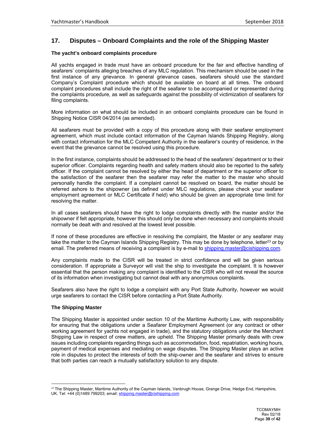# **17. Disputes – Onboard Complaints and the role of the Shipping Master**

## **The yacht's onboard complaints procedure**

All yachts engaged in trade must have an onboard procedure for the fair and effective handling of seafarers' complaints alleging breaches of any MLC regulation. This mechanism should be used in the first instance of any grievance. In general grievance cases, seafarers should use the standard Company's Complaint procedure which should be available on board at all times. The onboard complaint procedures shall include the right of the seafarer to be accompanied or represented during the complaints procedure, as well as safeguards against the possibility of victimization of seafarers for filing complaints.

More information on what should be included in an onboard complaints procedure can be found in Shipping Notice CISR 04/2014 (as amended).

All seafarers must be provided with a copy of this procedure along with their seafarer employment agreement, which must include contact information of the Cayman Islands Shipping Registry, along with contact information for the MLC Competent Authority in the seafarer's country of residence, in the event that the grievance cannot be resolved using this procedure.

In the first instance, complaints should be addressed to the head of the seafarers' department or to their superior officer. Complaints regarding health and safety matters should also be reported to the safety officer. If the complaint cannot be resolved by either the head of department or the superior officer to the satisfaction of the seafarer then the seafarer may refer the matter to the master who should personally handle the complaint. If a complaint cannot be resolved on board, the matter should be referred ashore to the shipowner (as defined under MLC regulations, please check your seafarer employment agreement or MLC Certificate if held) who should be given an appropriate time limit for resolving the matter.

In all cases seafarers should have the right to lodge complaints directly with the master and/or the shipowner if felt appropriate, however this should only be done when necessary and complaints should normally be dealt with and resolved at the lowest level possible.

If none of these procedures are effective in resolving the complaint, the Master or any seafarer may take the matter to the Cayman Islands Shipping Registry. This may be done by telephone, letter<sup>23</sup> or by email. The preferred means of receiving a complaint is by e-mail to shipping master@cishipping.com.

Any complaints made to the CISR will be treated in strict confidence and will be given serious consideration. If appropriate a Surveyor will visit the ship to investigate the complaint. It is however essential that the person making any complaint is identified to the CISR who will not reveal the source of its information when investigating but cannot deal with any anonymous complaints.

Seafarers also have the right to lodge a complaint with any Port State Authority, however we would urge seafarers to contact the CISR before contacting a Port State Authority.

#### **The Shipping Master**

The Shipping Master is appointed under section 10 of the Maritime Authority Law, with responsibility for ensuring that the obligations under a Seafarer Employment Agreement (or any contract or other working agreement for yachts not engaged in trade), and the statutory obligations under the Merchant Shipping Law in respect of crew matters, are upheld. The Shipping Master primarily deals with crew issues including complaints regarding things such as accommodation, food, repatriation, working hours, payment of medical expenses and mediating on wage disputes. The Shipping Master plays an active role in disputes to protect the interests of both the ship-owner and the seafarer and strives to ensure that both parties can reach a mutually satisfactory solution to any dispute.

 <sup>23</sup> The Shipping Master, Maritime Authority of the Cayman Islands, Vanbrugh House, Grange Drive, Hedge End, Hampshire, UK. Tel: +44 (0)1489 799203; email: shipping.master@cishipping.com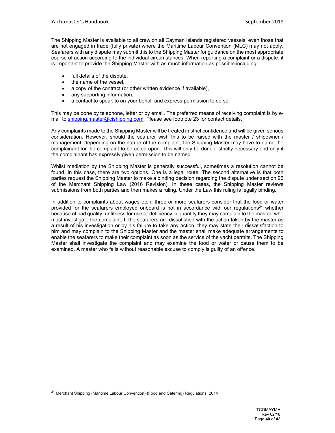The Shipping Master is available to all crew on all Cayman Islands registered vessels, even those that are not engaged in trade (fully private) where the Maritime Labour Convention (MLC) may not apply. Seafarers with any dispute may submit this to the Shipping Master for guidance on the most appropriate course of action according to the individual circumstances. When reporting a complaint or a dispute, it is important to provide the Shipping Master with as much information as possible including:

- full details of the dispute,
- the name of the vessel,
- a copy of the contract (or other written evidence if available),
- any supporting information,
- a contact to speak to on your behalf and express permission to do so.

This may be done by telephone, letter or by email. The preferred means of receiving complaint is by email to shipping.master@cishipping.com. Please see footnote 23 for contact details.

Any complaints made to the Shipping Master will be treated in strict confidence and will be given serious consideration. However, should the seafarer wish this to be raised with the master / shipowner / management, depending on the nature of the complaint, the Shipping Master may have to name the complainant for the complaint to be acted upon. This will only be done if strictly necessary and only if the complainant has expressly given permission to be named.

Whilst mediation by the Shipping Master is generally successful, sometimes a resolution cannot be found. In this case, there are two options. One is a legal route. The second alternative is that both parties request the Shipping Master to make a binding decision regarding the dispute under section 96 of the Merchant Shipping Law (2016 Revision). In these cases, the Shipping Master reviews submissions from both parties and then makes a ruling. Under the Law this ruling is legally binding.

In addition to complaints about wages etc if three or more seafarers consider that the food or water provided for the seafarers employed onboard is not in accordance with our regulations<sup>24</sup> whether because of bad quality, unfitness for use or deficiency in quantity they may complain to the master, who must investigate the complaint. If the seafarers are dissatisfied with the action taken by the master as a result of his investigation or by his failure to take any action, they may state their dissatisfaction to him and may complain to the Shipping Master and the master shall make adequate arrangements to enable the seafarers to make their complaint as soon as the service of the yacht permits. The Shipping Master shall investigate the complaint and may examine the food or water or cause them to be examined. A master who fails without reasonable excuse to comply is guilty of an offence.

<sup>&</sup>lt;sup>24</sup> Merchant Shipping (Maritime Labour Convention) (Food and Catering) Regulations, 2014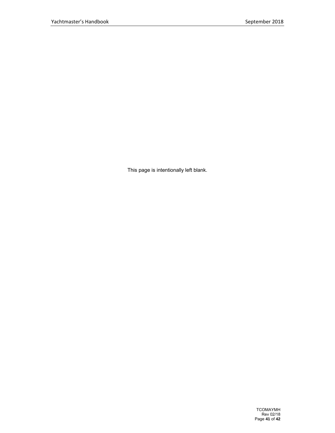This page is intentionally left blank.